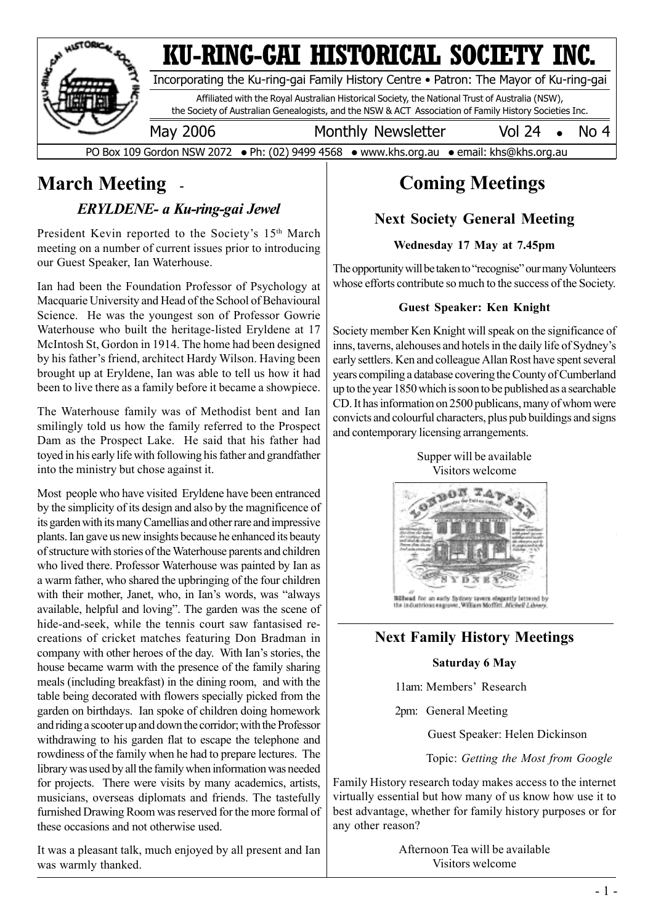

# **March Meeting**

*ERYLDENE- a Ku-ring-gai Jewel*

President Kevin reported to the Society's 15<sup>th</sup> March meeting on a number of current issues prior to introducing our Guest Speaker, Ian Waterhouse.

Ian had been the Foundation Professor of Psychology at Macquarie University and Head of the School of Behavioural Science. He was the youngest son of Professor Gowrie Waterhouse who built the heritage-listed Eryldene at 17 McIntosh St, Gordon in 1914. The home had been designed by his father's friend, architect Hardy Wilson. Having been brought up at Eryldene, Ian was able to tell us how it had been to live there as a family before it became a showpiece.

The Waterhouse family was of Methodist bent and Ian smilingly told us how the family referred to the Prospect Dam as the Prospect Lake. He said that his father had toyed in his early life with following his father and grandfather into the ministry but chose against it.

Most people who have visited Eryldene have been entranced by the simplicity of its design and also by the magnificence of its garden with its many Camellias and other rare and impressive plants. Ian gave us new insights because he enhanced its beauty of structure with stories of the Waterhouse parents and children who lived there. Professor Waterhouse was painted by Ian as a warm father, who shared the upbringing of the four children with their mother, Janet, who, in Ian's words, was "always available, helpful and loving". The garden was the scene of hide-and-seek, while the tennis court saw fantasised recreations of cricket matches featuring Don Bradman in company with other heroes of the day. With Ian's stories, the house became warm with the presence of the family sharing meals (including breakfast) in the dining room, and with the table being decorated with flowers specially picked from the garden on birthdays. Ian spoke of children doing homework and riding a scooter up and down the corridor; with the Professor withdrawing to his garden flat to escape the telephone and rowdiness of the family when he had to prepare lectures. The library was used by all the family when information was needed for projects. There were visits by many academics, artists, musicians, overseas diplomats and friends. The tastefully furnished Drawing Room was reserved for the more formal of these occasions and not otherwise used.

It was a pleasant talk, much enjoyed by all present and Ian was warmly thanked.

# **Coming Meetings**

#### **Next Society General Meeting**

#### **Wednesday 17 May at 7.45pm**

The opportunity will be taken to "recognise" our many Volunteers whose efforts contribute so much to the success of the Society.

#### **Guest Speaker: Ken Knight**

Society member Ken Knight will speak on the significance of inns, taverns, alehouses and hotels in the daily life of Sydney's early settlers. Ken and colleague Allan Rost have spent several years compiling a database covering the County of Cumberland up to the year 1850 which is soon to be published as a searchable CD. It has information on 2500 publicans, many of whom were convicts and colourful characters, plus pub buildings and signs and contemporary licensing arrangements.





#### **Next Family History Meetings**

#### **Saturday 6 May**

11am: Members' Research

2pm: General Meeting

Guest Speaker: Helen Dickinson

Topic: *Getting the Most from Google*

Family History research today makes access to the internet virtually essential but how many of us know how use it to best advantage, whether for family history purposes or for any other reason?

> Afternoon Tea will be available Visitors welcome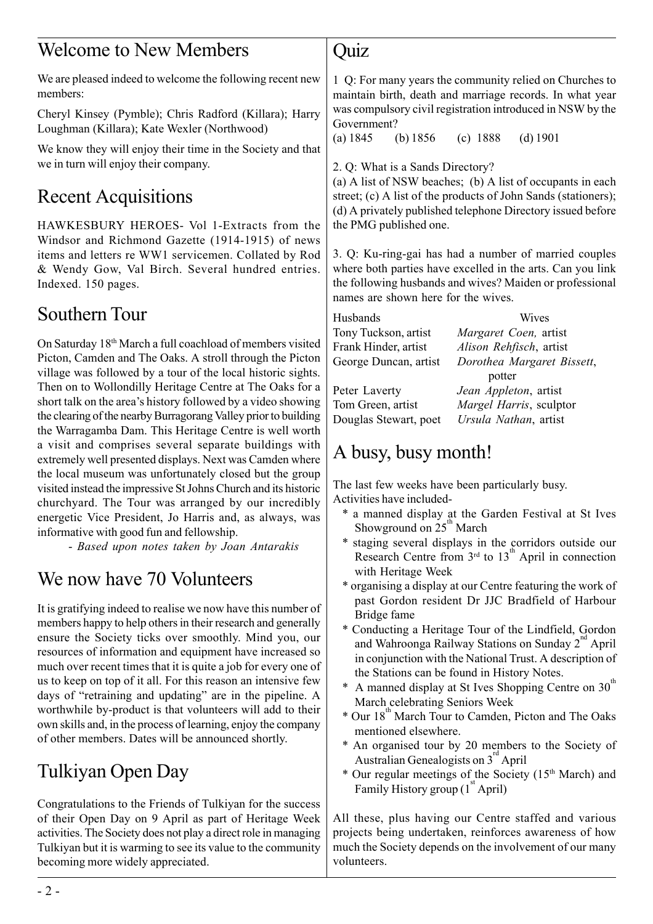#### Welcome to New Members

We are pleased indeed to welcome the following recent new members:

Cheryl Kinsey (Pymble); Chris Radford (Killara); Harry Loughman (Killara); Kate Wexler (Northwood)

We know they will enjoy their time in the Society and that we in turn will enjoy their company.

# Recent Acquisitions

HAWKESBURY HEROES- Vol 1-Extracts from the Windsor and Richmond Gazette (1914-1915) of news items and letters re WW1 servicemen. Collated by Rod & Wendy Gow, Val Birch. Several hundred entries. Indexed. 150 pages.

## Southern Tour

On Saturday 18th March a full coachload of members visited Picton, Camden and The Oaks. A stroll through the Picton village was followed by a tour of the local historic sights. Then on to Wollondilly Heritage Centre at The Oaks for a short talk on the area's history followed by a video showing the clearing of the nearby Burragorang Valley prior to building the Warragamba Dam. This Heritage Centre is well worth a visit and comprises several separate buildings with extremely well presented displays. Next was Camden where the local museum was unfortunately closed but the group visited instead the impressive St Johns Church and its historic churchyard. The Tour was arranged by our incredibly energetic Vice President, Jo Harris and, as always, was informative with good fun and fellowship.

- *Based upon notes taken by Joan Antarakis*

## We now have 70 Volunteers

It is gratifying indeed to realise we now have this number of members happy to help others in their research and generally ensure the Society ticks over smoothly. Mind you, our resources of information and equipment have increased so much over recent times that it is quite a job for every one of us to keep on top of it all. For this reason an intensive few days of "retraining and updating" are in the pipeline. A worthwhile by-product is that volunteers will add to their own skills and, in the process of learning, enjoy the company of other members. Dates will be announced shortly.

# Tulkiyan Open Day

Congratulations to the Friends of Tulkiyan for the success of their Open Day on 9 April as part of Heritage Week activities. The Society does not play a direct role in managing Tulkiyan but it is warming to see its value to the community becoming more widely appreciated.

#### Quiz

1 Q: For many years the community relied on Churches to maintain birth, death and marriage records. In what year was compulsory civil registration introduced in NSW by the Government?

(a) 1845 (b) 1856 (c) 1888 (d) 1901

2. Q: What is a Sands Directory?

(a) A list of NSW beaches; (b) A list of occupants in each street; (c) A list of the products of John Sands (stationers); (d) A privately published telephone Directory issued before the PMG published one.

3. Q: Ku-ring-gai has had a number of married couples where both parties have excelled in the arts. Can you link the following husbands and wives? Maiden or professional names are shown here for the wives.

| Husbands              | <b>Wives</b>               |
|-----------------------|----------------------------|
| Tony Tuckson, artist  | Margaret Coen, artist      |
| Frank Hinder, artist  | Alison Rehfisch, artist    |
| George Duncan, artist | Dorothea Margaret Bissett, |
|                       | potter                     |
| Peter Laverty         | Jean Appleton, artist      |
| Tom Green, artist     | Margel Harris, sculptor    |
| Douglas Stewart, poet | Ursula Nathan, artist      |

# A busy, busy month!

The last few weeks have been particularly busy. Activities have included-

- \* a manned display at the Garden Festival at St Ives Showground on  $25<sup>th</sup>$  March
- \* staging several displays in the corridors outside our Research Centre from  $3<sup>rd</sup>$  to  $13<sup>th</sup>$  April in connection with Heritage Week
- \* organising a display at our Centre featuring the work of past Gordon resident Dr JJC Bradfield of Harbour Bridge fame
- \* Conducting a Heritage Tour of the Lindfield, Gordon and Wahroonga Railway Stations on Sunday  $2^{na}$  April in conjunction with the National Trust. A description of the Stations can be found in History Notes.
- A manned display at St Ives Shopping Centre on  $30<sup>th</sup>$ March celebrating Seniors Week
- Our 18<sup>th</sup> March Tour to Camden, Picton and The Oaks mentioned elsewhere.
- \* An organised tour by 20 members to the Society of Australian Genealogists on  $3^{rd}$  April
- \* Our regular meetings of the Society (15th March) and Family History group  $(1<sup>st</sup>$  April)

All these, plus having our Centre staffed and various projects being undertaken, reinforces awareness of how much the Society depends on the involvement of our many volunteers.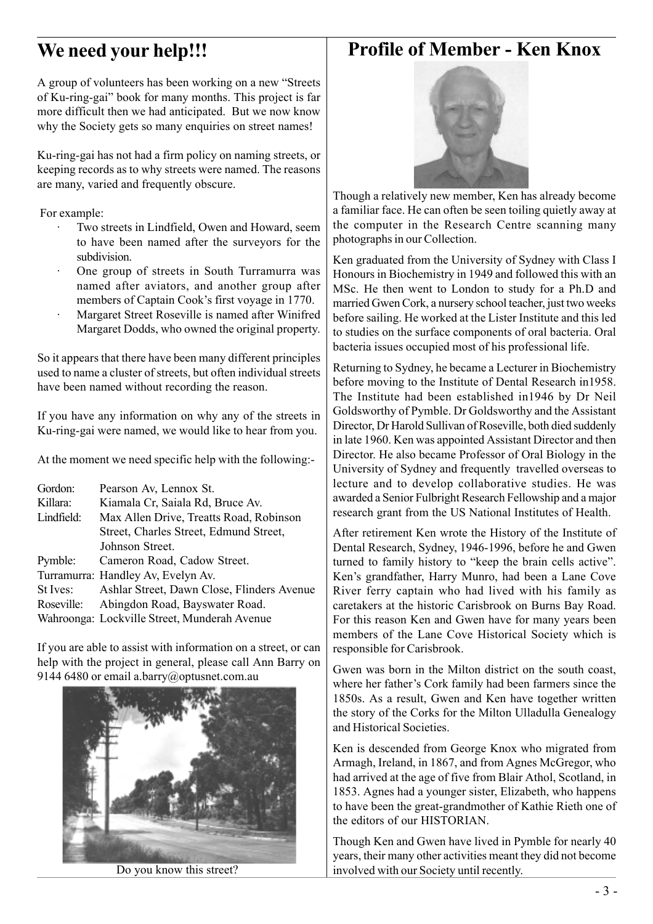### **We need your help!!!**

#### **Profile of Member - Ken Knox**

A group of volunteers has been working on a new "Streets of Ku-ring-gai" book for many months. This project is far more difficult then we had anticipated. But we now know why the Society gets so many enquiries on street names!

Ku-ring-gai has not had a firm policy on naming streets, or keeping records as to why streets were named. The reasons are many, varied and frequently obscure.

#### For example:

- Two streets in Lindfield, Owen and Howard, seem to have been named after the surveyors for the subdivision.
- · One group of streets in South Turramurra was named after aviators, and another group after members of Captain Cook's first voyage in 1770.
- Margaret Street Roseville is named after Winifred Margaret Dodds, who owned the original property.

So it appears that there have been many different principles used to name a cluster of streets, but often individual streets have been named without recording the reason.

If you have any information on why any of the streets in Ku-ring-gai were named, we would like to hear from you.

At the moment we need specific help with the following:-

| Gordon:    | Pearson Av, Lennox St.                       |
|------------|----------------------------------------------|
| Killara:   | Kiamala Cr, Saiala Rd, Bruce Av.             |
| Lindfield: | Max Allen Drive, Treatts Road, Robinson      |
|            | Street, Charles Street, Edmund Street,       |
|            | Johnson Street.                              |
| Pymble:    | Cameron Road, Cadow Street.                  |
|            | Turramurra: Handley Av, Evelyn Av.           |
| St Ives:   | Ashlar Street, Dawn Close, Flinders Avenue   |
| Roseville: | Abingdon Road, Bayswater Road.               |
|            | Wahroonga: Lockville Street, Munderah Avenue |
|            |                                              |

If you are able to assist with information on a street, or can help with the project in general, please call Ann Barry on 9144 6480 or email a.barry@optusnet.com.au





Though a relatively new member, Ken has already become a familiar face. He can often be seen toiling quietly away at the computer in the Research Centre scanning many photographs in our Collection.

Ken graduated from the University of Sydney with Class I Honours in Biochemistry in 1949 and followed this with an MSc. He then went to London to study for a Ph.D and married Gwen Cork, a nursery school teacher, just two weeks before sailing. He worked at the Lister Institute and this led to studies on the surface components of oral bacteria. Oral bacteria issues occupied most of his professional life.

Returning to Sydney, he became a Lecturer in Biochemistry before moving to the Institute of Dental Research in1958. The Institute had been established in1946 by Dr Neil Goldsworthy of Pymble. Dr Goldsworthy and the Assistant Director, Dr Harold Sullivan of Roseville, both died suddenly in late 1960. Ken was appointed Assistant Director and then Director. He also became Professor of Oral Biology in the University of Sydney and frequently travelled overseas to lecture and to develop collaborative studies. He was awarded a Senior Fulbright Research Fellowship and a major research grant from the US National Institutes of Health.

After retirement Ken wrote the History of the Institute of Dental Research, Sydney, 1946-1996, before he and Gwen turned to family history to "keep the brain cells active". Ken's grandfather, Harry Munro, had been a Lane Cove River ferry captain who had lived with his family as caretakers at the historic Carisbrook on Burns Bay Road. For this reason Ken and Gwen have for many years been members of the Lane Cove Historical Society which is responsible for Carisbrook.

Gwen was born in the Milton district on the south coast, where her father's Cork family had been farmers since the 1850s. As a result, Gwen and Ken have together written the story of the Corks for the Milton Ulladulla Genealogy and Historical Societies.

Ken is descended from George Knox who migrated from Armagh, Ireland, in 1867, and from Agnes McGregor, who had arrived at the age of five from Blair Athol, Scotland, in 1853. Agnes had a younger sister, Elizabeth, who happens to have been the great-grandmother of Kathie Rieth one of the editors of our HISTORIAN.

Though Ken and Gwen have lived in Pymble for nearly 40 years, their many other activities meant they did not become Do you know this street? involved with our Society until recently.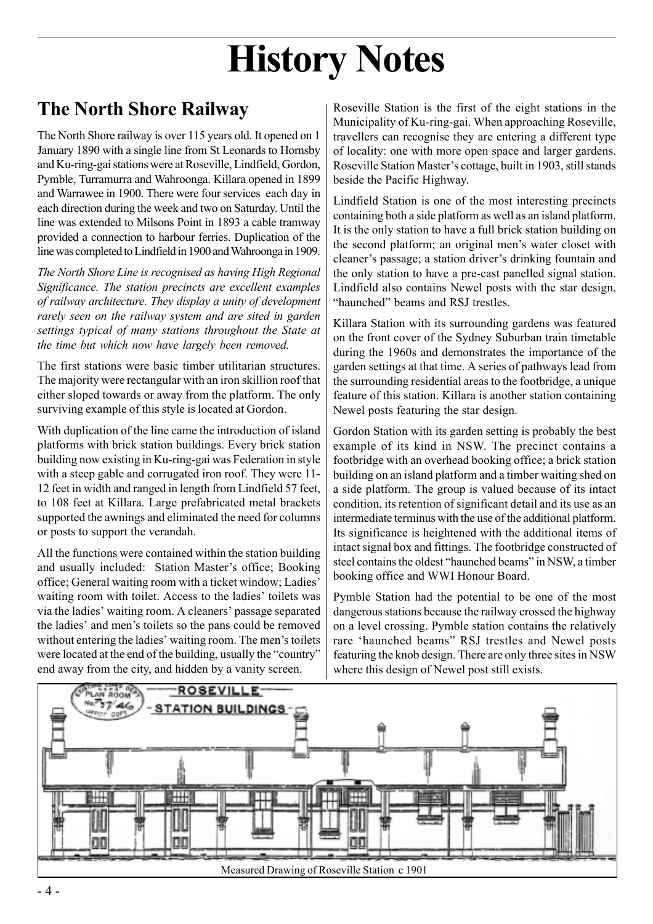# **History Notes**

# **The North Shore Railway**

The North Shore railway is over 115 years old. It opened on 1 January 1890 with a single line from St Leonards to Hornsby and Ku-ring-gai stations were at Roseville, Lindfield, Gordon, Pymble, Turramurra and Wahroonga. Killara opened in 1899 and Warrawee in 1900. There were four services each day in each direction during the week and two on Saturday. Until the line was extended to Milsons Point in 1893 a cable tramway provided a connection to harbour ferries. Duplication of the line was completed to Lindfield in 1900 and Wahroonga in 1909.

*The North Shore Line is recognised as having High Regional Significance. The station precincts are excellent examples of railway architecture. They display a unity of development rarely seen on the railway system and are sited in garden settings typical of many stations throughout the State at the time but which now have largely been removed.*

The first stations were basic timber utilitarian structures. The majority were rectangular with an iron skillion roof that either sloped towards or away from the platform. The only surviving example of this style is located at Gordon.

With duplication of the line came the introduction of island platforms with brick station buildings. Every brick station building now existing in Ku-ring-gai was Federation in style with a steep gable and corrugated iron roof. They were 11- 12 feet in width and ranged in length from Lindfield 57 feet, to 108 feet at Killara. Large prefabricated metal brackets supported the awnings and eliminated the need for columns or posts to support the verandah.

All the functions were contained within the station building and usually included: Station Master's office; Booking office; General waiting room with a ticket window; Ladies' waiting room with toilet. Access to the ladies' toilets was via the ladies' waiting room. A cleaners' passage separated the ladies' and men's toilets so the pans could be removed without entering the ladies' waiting room. The men's toilets were located at the end of the building, usually the "country" end away from the city, and hidden by a vanity screen.

Roseville Station is the first of the eight stations in the Municipality of Ku-ring-gai. When approaching Roseville, travellers can recognise they are entering a different type of locality: one with more open space and larger gardens. Roseville Station Master's cottage, built in 1903, still stands beside the Pacific Highway.

Lindfield Station is one of the most interesting precincts containing both a side platform as well as an island platform. It is the only station to have a full brick station building on the second platform; an original men's water closet with cleaner's passage; a station driver's drinking fountain and the only station to have a pre-cast panelled signal station. Lindfield also contains Newel posts with the star design, "haunched" beams and RSJ trestles.

Killara Station with its surrounding gardens was featured on the front cover of the Sydney Suburban train timetable during the 1960s and demonstrates the importance of the garden settings at that time. A series of pathways lead from the surrounding residential areas to the footbridge, a unique feature of this station. Killara is another station containing Newel posts featuring the star design.

Gordon Station with its garden setting is probably the best example of its kind in NSW. The precinct contains a footbridge with an overhead booking office; a brick station building on an island platform and a timber waiting shed on a side platform. The group is valued because of its intact condition, its retention of significant detail and its use as an intermediate terminus with the use of the additional platform. Its significance is heightened with the additional items of intact signal box and fittings. The footbridge constructed of steel contains the oldest "haunched beams" in NSW, a timber booking office and WWI Honour Board.

Pymble Station had the potential to be one of the most dangerous stations because the railway crossed the highway on a level crossing. Pymble station contains the relatively rare 'haunched beams" RSJ trestles and Newel posts featuring the knob design. There are only three sites in NSW where this design of Newel post still exists.

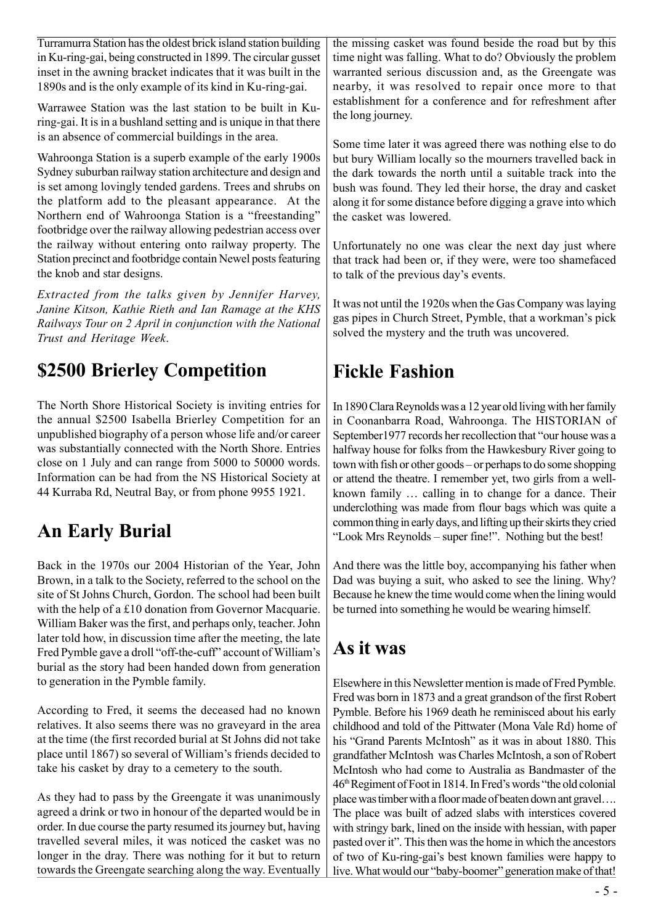Turramurra Station has the oldest brick island station building in Ku-ring-gai, being constructed in 1899. The circular gusset inset in the awning bracket indicates that it was built in the 1890s and is the only example of its kind in Ku-ring-gai.

Warrawee Station was the last station to be built in Kuring-gai. It is in a bushland setting and is unique in that there is an absence of commercial buildings in the area.

Wahroonga Station is a superb example of the early 1900s Sydney suburban railway station architecture and design and is set among lovingly tended gardens. Trees and shrubs on the platform add to the pleasant appearance. At the Northern end of Wahroonga Station is a "freestanding" footbridge over the railway allowing pedestrian access over the railway without entering onto railway property. The Station precinct and footbridge contain Newel posts featuring the knob and star designs.

*Extracted from the talks given by Jennifer Harvey, Janine Kitson, Kathie Rieth and Ian Ramage at the KHS Railways Tour on 2 April in conjunction with the National Trust and Heritage Week*.

## **\$2500 Brierley Competition**

The North Shore Historical Society is inviting entries for the annual \$2500 Isabella Brierley Competition for an unpublished biography of a person whose life and/or career was substantially connected with the North Shore. Entries close on 1 July and can range from 5000 to 50000 words. Information can be had from the NS Historical Society at 44 Kurraba Rd, Neutral Bay, or from phone 9955 1921.

## **An Early Burial**

Back in the 1970s our 2004 Historian of the Year, John Brown, in a talk to the Society, referred to the school on the site of St Johns Church, Gordon. The school had been built with the help of a £10 donation from Governor Macquarie. William Baker was the first, and perhaps only, teacher. John later told how, in discussion time after the meeting, the late Fred Pymble gave a droll "off-the-cuff" account of William's burial as the story had been handed down from generation to generation in the Pymble family.

According to Fred, it seems the deceased had no known relatives. It also seems there was no graveyard in the area at the time (the first recorded burial at St Johns did not take place until 1867) so several of William's friends decided to take his casket by dray to a cemetery to the south.

As they had to pass by the Greengate it was unanimously agreed a drink or two in honour of the departed would be in order. In due course the party resumed its journey but, having travelled several miles, it was noticed the casket was no longer in the dray. There was nothing for it but to return towards the Greengate searching along the way. Eventually the missing casket was found beside the road but by this time night was falling. What to do? Obviously the problem warranted serious discussion and, as the Greengate was nearby, it was resolved to repair once more to that establishment for a conference and for refreshment after the long journey.

Some time later it was agreed there was nothing else to do but bury William locally so the mourners travelled back in the dark towards the north until a suitable track into the bush was found. They led their horse, the dray and casket along it for some distance before digging a grave into which the casket was lowered.

Unfortunately no one was clear the next day just where that track had been or, if they were, were too shamefaced to talk of the previous day's events.

It was not until the 1920s when the Gas Company was laying gas pipes in Church Street, Pymble, that a workman's pick solved the mystery and the truth was uncovered.

# **Fickle Fashion**

In 1890 Clara Reynolds was a 12 year old living with her family in Coonanbarra Road, Wahroonga. The HISTORIAN of September1977 records her recollection that "our house was a halfway house for folks from the Hawkesbury River going to town with fish or other goods – or perhaps to do some shopping or attend the theatre. I remember yet, two girls from a wellknown family … calling in to change for a dance. Their underclothing was made from flour bags which was quite a common thing in early days, and lifting up their skirts they cried "Look Mrs Reynolds – super fine!". Nothing but the best!

And there was the little boy, accompanying his father when Dad was buying a suit, who asked to see the lining. Why? Because he knew the time would come when the lining would be turned into something he would be wearing himself.

# **As it was**

Elsewhere in this Newsletter mention is made of Fred Pymble. Fred was born in 1873 and a great grandson of the first Robert Pymble. Before his 1969 death he reminisced about his early childhood and told of the Pittwater (Mona Vale Rd) home of his "Grand Parents McIntosh" as it was in about 1880. This grandfather McIntosh was Charles McIntosh, a son of Robert McIntosh who had come to Australia as Bandmaster of the 46th Regiment of Foot in 1814. In Fred's words "the old colonial place was timber with a floor made of beaten down ant gravel…. The place was built of adzed slabs with interstices covered with stringy bark, lined on the inside with hessian, with paper pasted over it". This then was the home in which the ancestors of two of Ku-ring-gai's best known families were happy to live. What would our "baby-boomer" generation make of that!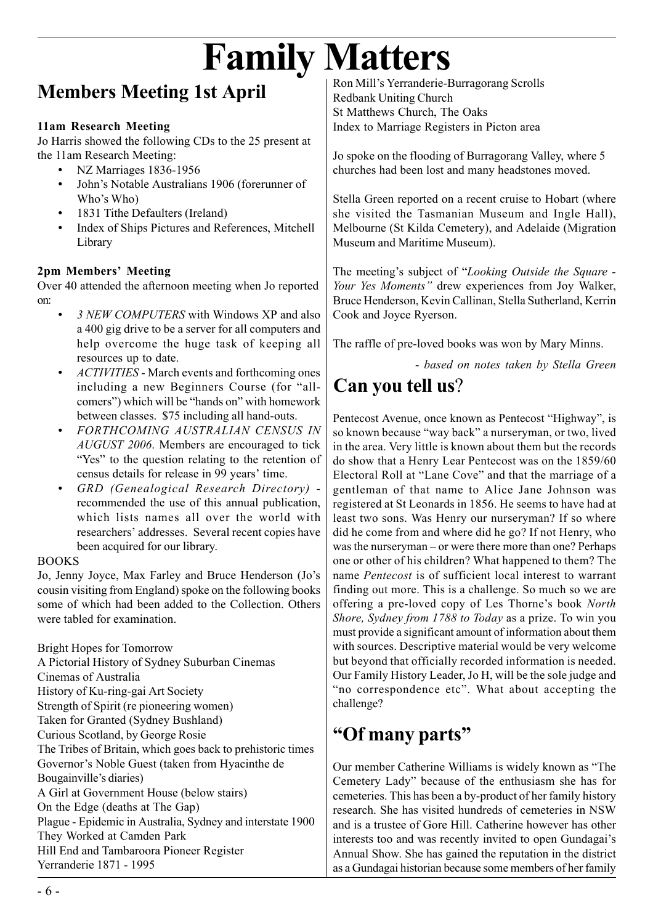# **Family Matters**

# **Members Meeting 1st April**

#### **11am Research Meeting**

Jo Harris showed the following CDs to the 25 present at the 11am Research Meeting:

- NZ Marriages 1836-1956
- John's Notable Australians 1906 (forerunner of Who's Who)
- 1831 Tithe Defaulters (Ireland)
- Index of Ships Pictures and References, Mitchell Library

#### **2pm Members' Meeting**

Over 40 attended the afternoon meeting when Jo reported on:

- *3 NEW COMPUTERS* with Windows XP and also a 400 gig drive to be a server for all computers and help overcome the huge task of keeping all resources up to date.
- *ACTIVITIES* March events and forthcoming ones including a new Beginners Course (for "allcomers") which will be "hands on" with homework between classes. \$75 including all hand-outs.
- *FORTHCOMING AUSTRALIAN CENSUS IN AUGUST 2006*. Members are encouraged to tick "Yes" to the question relating to the retention of census details for release in 99 years' time.
- *GRD (Genealogical Research Directory)* recommended the use of this annual publication, which lists names all over the world with researchers' addresses. Several recent copies have been acquired for our library.

#### BOOKS

Jo, Jenny Joyce, Max Farley and Bruce Henderson (Jo's cousin visiting from England) spoke on the following books some of which had been added to the Collection. Others were tabled for examination.

Bright Hopes for Tomorrow A Pictorial History of Sydney Suburban Cinemas Cinemas of Australia History of Ku-ring-gai Art Society Strength of Spirit (re pioneering women) Taken for Granted (Sydney Bushland) Curious Scotland, by George Rosie The Tribes of Britain, which goes back to prehistoric times Governor's Noble Guest (taken from Hyacinthe de Bougainville's diaries) A Girl at Government House (below stairs) On the Edge (deaths at The Gap) Plague - Epidemic in Australia, Sydney and interstate 1900 They Worked at Camden Park Hill End and Tambaroora Pioneer Register Yerranderie 1871 - 1995

Ron Mill's Yerranderie-Burragorang Scrolls Redbank Uniting Church St Matthews Church, The Oaks Index to Marriage Registers in Picton area

Jo spoke on the flooding of Burragorang Valley, where 5 churches had been lost and many headstones moved.

Stella Green reported on a recent cruise to Hobart (where she visited the Tasmanian Museum and Ingle Hall), Melbourne (St Kilda Cemetery), and Adelaide (Migration Museum and Maritime Museum).

The meeting's subject of "*Looking Outside the Square - Your Yes Moments"* drew experiences from Joy Walker, Bruce Henderson, Kevin Callinan, Stella Sutherland, Kerrin Cook and Joyce Ryerson.

The raffle of pre-loved books was won by Mary Minns.

*- based on notes taken by Stella Green*

# **Can you tell us**?

Pentecost Avenue, once known as Pentecost "Highway", is so known because "way back" a nurseryman, or two, lived in the area. Very little is known about them but the records do show that a Henry Lear Pentecost was on the 1859/60 Electoral Roll at "Lane Cove" and that the marriage of a gentleman of that name to Alice Jane Johnson was registered at St Leonards in 1856. He seems to have had at least two sons. Was Henry our nurseryman? If so where did he come from and where did he go? If not Henry, who was the nurseryman – or were there more than one? Perhaps one or other of his children? What happened to them? The name *Pentecost* is of sufficient local interest to warrant finding out more. This is a challenge. So much so we are offering a pre-loved copy of Les Thorne's book *North Shore, Sydney from 1788 to Today* as a prize. To win you must provide a significant amount of information about them with sources. Descriptive material would be very welcome but beyond that officially recorded information is needed. Our Family History Leader, Jo H, will be the sole judge and "no correspondence etc". What about accepting the challenge?

## **"Of many parts"**

Our member Catherine Williams is widely known as "The Cemetery Lady" because of the enthusiasm she has for cemeteries. This has been a by-product of her family history research. She has visited hundreds of cemeteries in NSW and is a trustee of Gore Hill. Catherine however has other interests too and was recently invited to open Gundagai's Annual Show. She has gained the reputation in the district as a Gundagai historian because some members of her family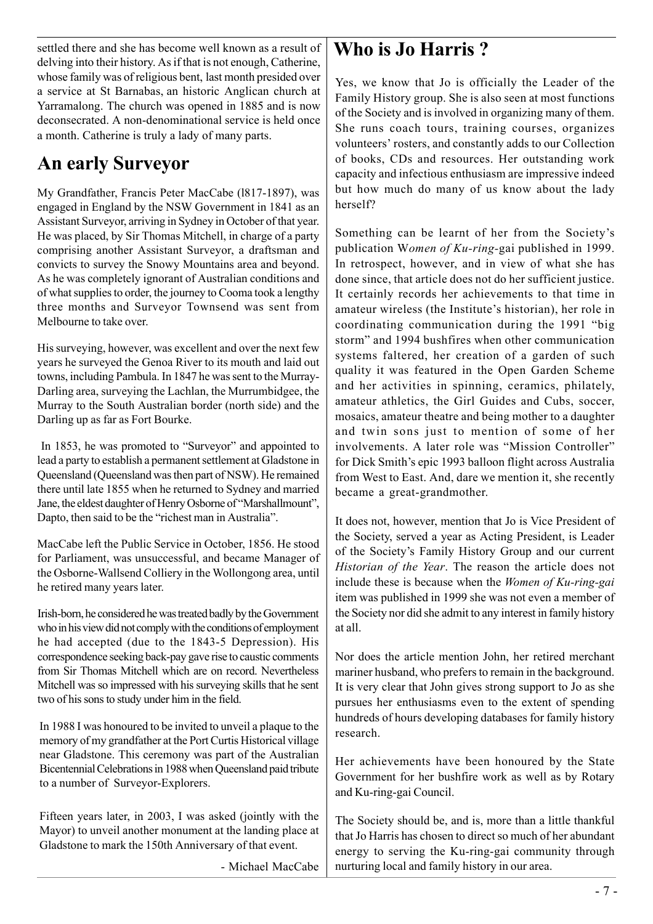settled there and she has become well known as a result of delving into their history. As if that is not enough, Catherine, whose family was of religious bent, last month presided over a service at St Barnabas, an historic Anglican church at Yarramalong. The church was opened in 1885 and is now deconsecrated. A non-denominational service is held once a month. Catherine is truly a lady of many parts.

# **An early Surveyor**

My Grandfather, Francis Peter MacCabe (l817-1897), was engaged in England by the NSW Government in 1841 as an Assistant Surveyor, arriving in Sydney in October of that year. He was placed, by Sir Thomas Mitchell, in charge of a party comprising another Assistant Surveyor, a draftsman and convicts to survey the Snowy Mountains area and beyond. As he was completely ignorant of Australian conditions and of what supplies to order, the journey to Cooma took a lengthy three months and Surveyor Townsend was sent from Melbourne to take over.

His surveying, however, was excellent and over the next few years he surveyed the Genoa River to its mouth and laid out towns, including Pambula. In 1847 he was sent to the Murray-Darling area, surveying the Lachlan, the Murrumbidgee, the Murray to the South Australian border (north side) and the Darling up as far as Fort Bourke.

 In 1853, he was promoted to "Surveyor" and appointed to lead a party to establish a permanent settlement at Gladstone in Queensland (Queensland was then part of NSW). He remained there until late 1855 when he returned to Sydney and married Jane, the eldest daughter of Henry Osborne of "Marshallmount", Dapto, then said to be the "richest man in Australia".

MacCabe left the Public Service in October, 1856. He stood for Parliament, was unsuccessful, and became Manager of the Osborne-Wallsend Colliery in the Wollongong area, until he retired many years later.

Irish-born, he considered he was treated badly by the Government who in his view did not comply with the conditions of employment he had accepted (due to the 1843-5 Depression). His correspondence seeking back-pay gave rise to caustic comments from Sir Thomas Mitchell which are on record. Nevertheless Mitchell was so impressed with his surveying skills that he sent two of his sons to study under him in the field.

In 1988 I was honoured to be invited to unveil a plaque to the memory of my grandfather at the Port Curtis Historical village near Gladstone. This ceremony was part of the Australian Bicentennial Celebrations in 1988 when Queensland paid tribute to a number of Surveyor-Explorers.

Fifteen years later, in 2003, I was asked (jointly with the Mayor) to unveil another monument at the landing place at Gladstone to mark the 150th Anniversary of that event.

- Michael MacCabe

### **Who is Jo Harris ?**

Yes, we know that Jo is officially the Leader of the Family History group. She is also seen at most functions of the Society and is involved in organizing many of them. She runs coach tours, training courses, organizes volunteers' rosters, and constantly adds to our Collection of books, CDs and resources. Her outstanding work capacity and infectious enthusiasm are impressive indeed but how much do many of us know about the lady herself?

Something can be learnt of her from the Society's publication W*omen of Ku-ring-*gai published in 1999. In retrospect, however, and in view of what she has done since, that article does not do her sufficient justice. It certainly records her achievements to that time in amateur wireless (the Institute's historian), her role in coordinating communication during the 1991 "big storm" and 1994 bushfires when other communication systems faltered, her creation of a garden of such quality it was featured in the Open Garden Scheme and her activities in spinning, ceramics, philately, amateur athletics, the Girl Guides and Cubs, soccer, mosaics, amateur theatre and being mother to a daughter and twin sons just to mention of some of her involvements. A later role was "Mission Controller" for Dick Smith's epic 1993 balloon flight across Australia from West to East. And, dare we mention it, she recently became a great-grandmother.

It does not, however, mention that Jo is Vice President of the Society, served a year as Acting President, is Leader of the Society's Family History Group and our current *Historian of the Year*. The reason the article does not include these is because when the *Women of Ku-ring-gai* item was published in 1999 she was not even a member of the Society nor did she admit to any interest in family history at all.

Nor does the article mention John, her retired merchant mariner husband, who prefers to remain in the background. It is very clear that John gives strong support to Jo as she pursues her enthusiasms even to the extent of spending hundreds of hours developing databases for family history research.

Her achievements have been honoured by the State Government for her bushfire work as well as by Rotary and Ku-ring-gai Council.

The Society should be, and is, more than a little thankful that Jo Harris has chosen to direct so much of her abundant energy to serving the Ku-ring-gai community through nurturing local and family history in our area.